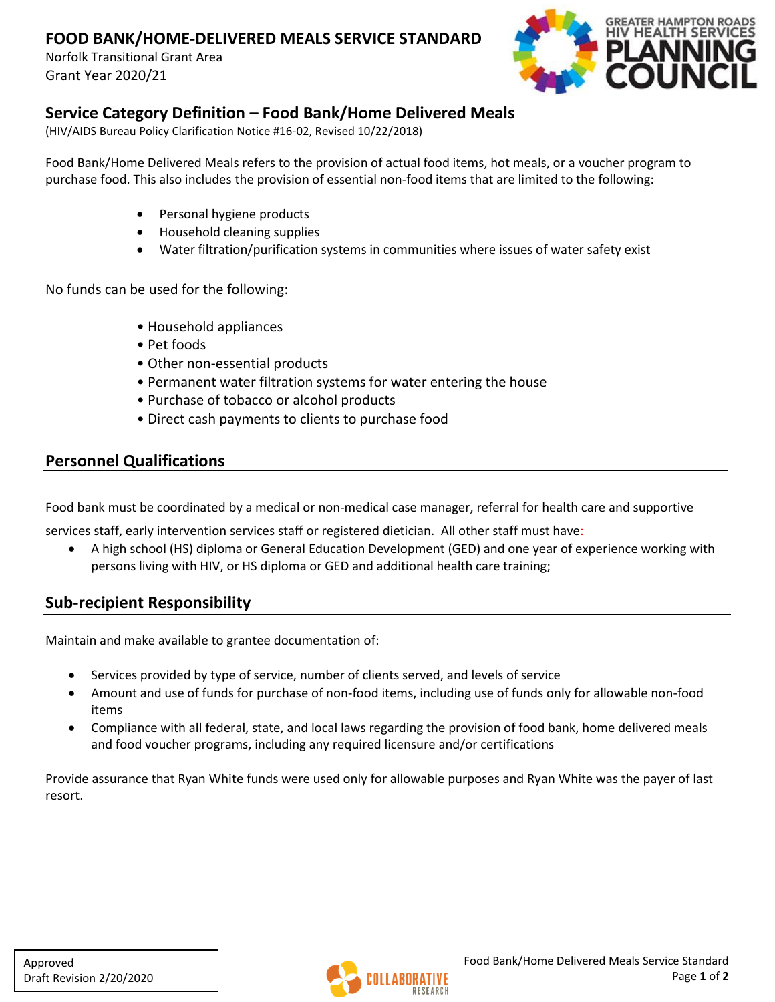# **FOOD BANK/HOME-DELIVERED MEALS SERVICE STANDARD**

Norfolk Transitional Grant Area Grant Year 2020/21



#### **Service Category Definition – Food Bank/Home Delivered Meals**

(HIV/AIDS Bureau Policy Clarification Notice #16-02, Revised 10/22/2018)

Food Bank/Home Delivered Meals refers to the provision of actual food items, hot meals, or a voucher program to purchase food. This also includes the provision of essential non-food items that are limited to the following:

- Personal hygiene products
- Household cleaning supplies
- Water filtration/purification systems in communities where issues of water safety exist

No funds can be used for the following:

- Household appliances
- Pet foods
- Other non-essential products
- Permanent water filtration systems for water entering the house
- Purchase of tobacco or alcohol products
- Direct cash payments to clients to purchase food

### **Personnel Qualifications**

Food bank must be coordinated by a medical or non-medical case manager, referral for health care and supportive

services staff, early intervention services staff or registered dietician. All other staff must have:

• A high school (HS) diploma or General Education Development (GED) and one year of experience working with persons living with HIV, or HS diploma or GED and additional health care training;

### **Sub-recipient Responsibility**

Maintain and make available to grantee documentation of:

- Services provided by type of service, number of clients served, and levels of service
- Amount and use of funds for purchase of non-food items, including use of funds only for allowable non-food items
- Compliance with all federal, state, and local laws regarding the provision of food bank, home delivered meals and food voucher programs, including any required licensure and/or certifications

Provide assurance that Ryan White funds were used only for allowable purposes and Ryan White was the payer of last resort.